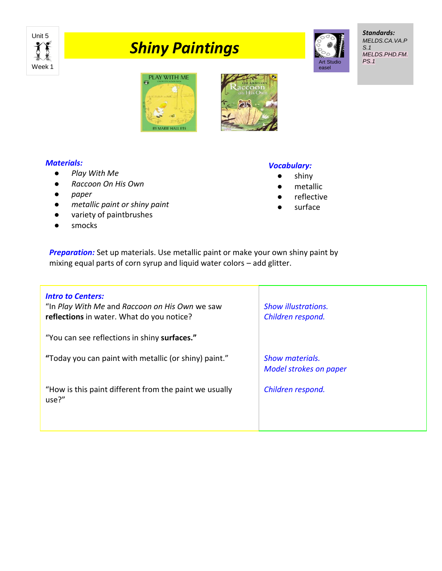

# *Shiny Paintings*



*Standards: MELDS.CA.VA.P S.1 MELDS.PHD.FM. PS.1*





## *Materials:*

- *Play With Me*
- *Raccoon On His Own*
- *paper*
- *metallic paint or shiny paint*
- variety of paintbrushes
- smocks

## *Vocabulary:*

- shiny
- metallic
- reflective
- surface

**Preparation:** Set up materials. Use metallic paint or make your own shiny paint by mixing equal parts of corn syrup and liquid water colors – add glitter.

| <b>Intro to Centers:</b><br>"In Play With Me and Raccoon on His Own we saw<br>reflections in water. What do you notice? | <b>Show illustrations.</b><br>Children respond.         |
|-------------------------------------------------------------------------------------------------------------------------|---------------------------------------------------------|
| "You can see reflections in shiny surfaces."                                                                            |                                                         |
| "Today you can paint with metallic (or shiny) paint."                                                                   | <b>Show materials.</b><br><b>Model strokes on paper</b> |
| "How is this paint different from the paint we usually<br>use?"                                                         | Children respond.                                       |
|                                                                                                                         |                                                         |